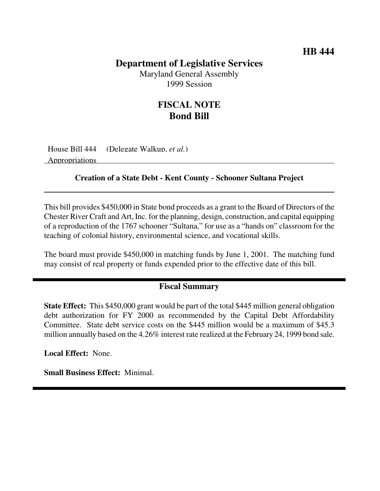**Department of Legislative Services**

Maryland General Assembly 1999 Session

## **FISCAL NOTE Bond Bill**

House Bill 444 (Delegate Walkup, *et al.*) Appropriations

#### **Creation of a State Debt - Kent County - Schooner Sultana Project**

This bill provides \$450,000 in State bond proceeds as a grant to the Board of Directors of the Chester River Craft and Art, Inc. for the planning, design, construction, and capital equipping of a reproduction of the 1767 schooner "Sultana," for use as a "hands on" classroom for the teaching of colonial history, environmental science, and vocational skills.

The board must provide \$450,000 in matching funds by June 1, 2001. The matching fund may consist of real property or funds expended prior to the effective date of this bill.

### **Fiscal Summary**

**State Effect:** This \$450,000 grant would be part of the total \$445 million general obligation debt authorization for FY 2000 as recommended by the Capital Debt Affordability Committee. State debt service costs on the \$445 million would be a maximum of \$45.3 million annually based on the 4.26% interest rate realized at the February 24, 1999 bond sale.

**Local Effect:** None.

**Small Business Effect:** Minimal.